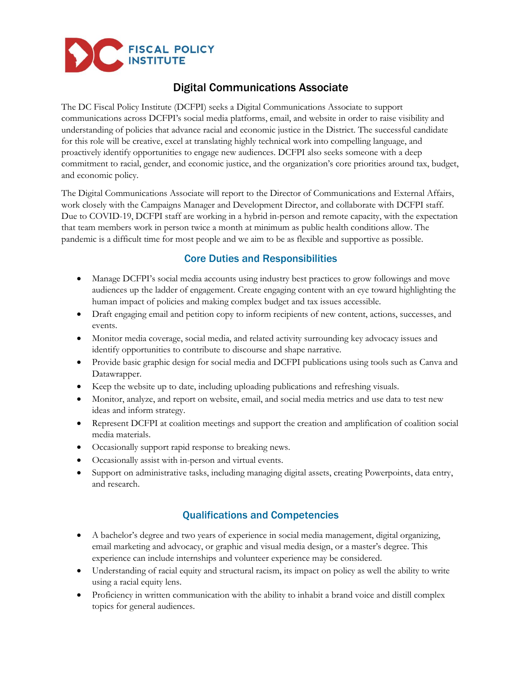

# Digital Communications Associate

The DC Fiscal Policy Institute (DCFPI) seeks a Digital Communications Associate to support communications across DCFPI's social media platforms, email, and website in order to raise visibility and understanding of policies that advance racial and economic justice in the District. The successful candidate for this role will be creative, excel at translating highly technical work into compelling language, and proactively identify opportunities to engage new audiences. DCFPI also seeks someone with a deep commitment to racial, gender, and economic justice, and the organization's core priorities around tax, budget, and economic policy.

The Digital Communications Associate will report to the Director of Communications and External Affairs, work closely with the Campaigns Manager and Development Director, and collaborate with DCFPI staff. Due to COVID-19, DCFPI staff are working in a hybrid in-person and remote capacity, with the expectation that team members work in person twice a month at minimum as public health conditions allow. The pandemic is a difficult time for most people and we aim to be as flexible and supportive as possible.

### Core Duties and Responsibilities

- Manage DCFPI's social media accounts using industry best practices to grow followings and move audiences up the ladder of engagement. Create engaging content with an eye toward highlighting the human impact of policies and making complex budget and tax issues accessible.
- Draft engaging email and petition copy to inform recipients of new content, actions, successes, and events.
- Monitor media coverage, social media, and related activity surrounding key advocacy issues and identify opportunities to contribute to discourse and shape narrative.
- Provide basic graphic design for social media and DCFPI publications using tools such as Canva and Datawrapper.
- Keep the website up to date, including uploading publications and refreshing visuals.
- Monitor, analyze, and report on website, email, and social media metrics and use data to test new ideas and inform strategy.
- Represent DCFPI at coalition meetings and support the creation and amplification of coalition social media materials.
- Occasionally support rapid response to breaking news.
- Occasionally assist with in-person and virtual events.
- Support on administrative tasks, including managing digital assets, creating Powerpoints, data entry, and research.

## Qualifications and Competencies

- A bachelor's degree and two years of experience in social media management, digital organizing, email marketing and advocacy, or graphic and visual media design, or a master's degree. This experience can include internships and volunteer experience may be considered.
- Understanding of racial equity and structural racism, its impact on policy as well the ability to write using a racial equity lens.
- Proficiency in written communication with the ability to inhabit a brand voice and distill complex topics for general audiences.